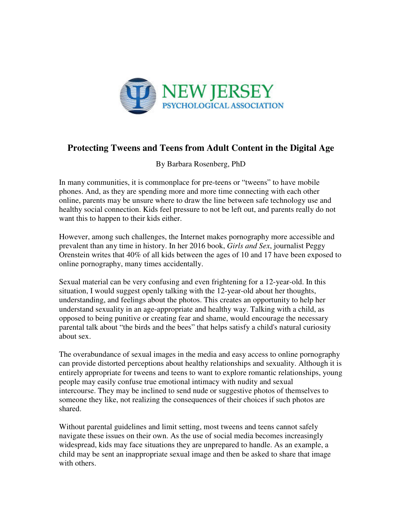

## **Protecting Tweens and Teens from Adult Content in the Digital Age**

By Barbara Rosenberg, PhD

In many communities, it is commonplace for pre-teens or "tweens" to have mobile phones. And, as they are spending more and more time connecting with each other online, parents may be unsure where to draw the line between safe technology use and healthy social connection. Kids feel pressure to not be left out, and parents really do not want this to happen to their kids either.

However, among such challenges, the Internet makes pornography more accessible and prevalent than any time in history. In her 2016 book, *Girls and Sex*, journalist Peggy Orenstein writes that 40% of all kids between the ages of 10 and 17 have been exposed to online pornography, many times accidentally.

Sexual material can be very confusing and even frightening for a 12-year-old. In this situation, I would suggest openly talking with the 12-year-old about her thoughts, understanding, and feelings about the photos. This creates an opportunity to help her understand sexuality in an age-appropriate and healthy way. Talking with a child, as opposed to being punitive or creating fear and shame, would encourage the necessary parental talk about "the birds and the bees" that helps satisfy a child's natural curiosity about sex.

The overabundance of sexual images in the media and easy access to online pornography can provide distorted perceptions about healthy relationships and sexuality. Although it is entirely appropriate for tweens and teens to want to explore romantic relationships, young people may easily confuse true emotional intimacy with nudity and sexual intercourse. They may be inclined to send nude or suggestive photos of themselves to someone they like, not realizing the consequences of their choices if such photos are shared.

Without parental guidelines and limit setting, most tweens and teens cannot safely navigate these issues on their own. As the use of social media becomes increasingly widespread, kids may face situations they are unprepared to handle. As an example, a child may be sent an inappropriate sexual image and then be asked to share that image with others.